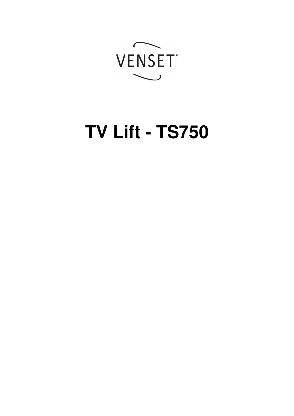

# **TV Lift - TS750**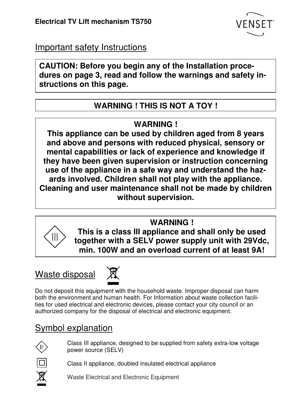

Important safety Instructions

**CAUTION: Before you begin any of the Installation procedures on page 3, read and follow the warnings and safety instructions on this page.** 

## **WARNING ! THIS IS NOT A TOY !**

## **WARNING !**

**This appliance can be used by children aged from 8 years and above and persons with reduced physical, sensory or mental capabilities or lack of experience and knowledge if they have been given supervision or instruction concerning use of the appliance in a safe way and understand the hazards involved. Children shall not play with the appliance. Cleaning and user maintenance shall not be made by children without supervision.** 

**WARNING !** 



**This is a class III appliance and shall only be used together with a SELV power supply unit with 29Vdc, min. 100W and an overload current of at least 9A!** 

# Waste disposal



Do not deposit this equipment with the household waste. Improper disposal can harm both the environment and human health. For Information about waste collection facilities for used electrical and electronic devices, please contact your city council or an authorized company for the disposal of electrical and electronic equipment.

# Symbol explanation



Class III appliance, designed to be supplied from safety extra-low voltage power source (SELV)

Class II appliance, doubled insulated electrical appliance

Waste Electrical and Electronic Equipment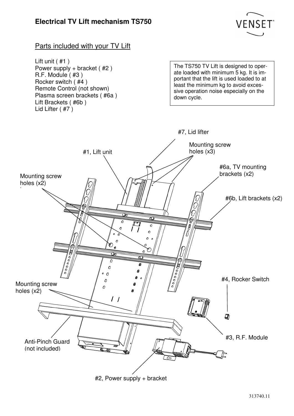

#### Parts included with your TV Lift

Lift unit ( #1 ) Power supply + bracket ( #2 ) R.F. Module ( #3 ) Rocker switch ( #4 ) Remote Control (not shown) Plasma screen brackets ( #6a ) Lift Brackets ( #6b ) Lid Lifter ( #7 )

The TS750 TV Lift is designed to operate loaded with minimum 5 kg. It is important that the lift is used loaded to at least the minimum kg to avoid excessive operation noise especially on the down cycle.



#2, Power supply + bracket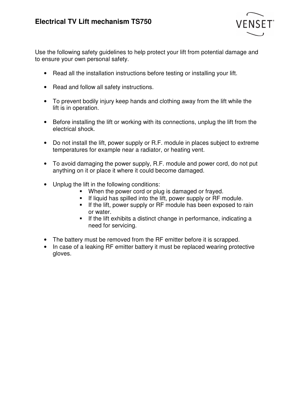

Use the following safety guidelines to help protect your lift from potential damage and to ensure your own personal safety.

- Read all the installation instructions before testing or installing your lift.
- Read and follow all safety instructions.
- To prevent bodily injury keep hands and clothing away from the lift while the lift is in operation.
- Before installing the lift or working with its connections, unplug the lift from the electrical shock.
- Do not install the lift, power supply or R.F. module in places subject to extreme temperatures for example near a radiator, or heating vent.
- To avoid damaging the power supply, R.F. module and power cord, do not put anything on it or place it where it could become damaged.
- Unplug the lift in the following conditions:
	- When the power cord or plug is damaged or frayed.
	- If liquid has spilled into the lift, power supply or RF module.
	- **If the lift, power supply or RF module has been exposed to rain** or water.
	- If the lift exhibits a distinct change in performance, indicating a need for servicing.
- The battery must be removed from the RF emitter before it is scrapped.
- In case of a leaking RF emitter battery it must be replaced wearing protective gloves.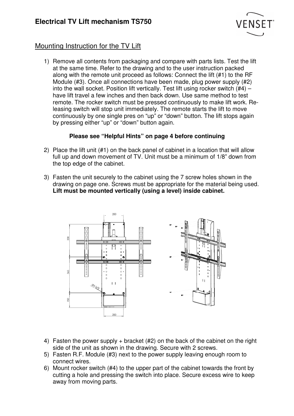

## Mounting Instruction for the TV Lift

1) Remove all contents from packaging and compare with parts lists. Test the lift at the same time. Refer to the drawing and to the user instruction packed along with the remote unit proceed as follows: Connect the lift (#1) to the RF Module (#3). Once all connections have been made, plug power supply (#2) into the wall socket. Position lift vertically. Test lift using rocker switch (#4) – have lift travel a few inches and then back down. Use same method to test remote. The rocker switch must be pressed continuously to make lift work. Releasing switch will stop unit immediately. The remote starts the lift to move continuously by one single pres on "up" or "down" button. The lift stops again by pressing either "up" or "down" button again.

#### **Please see "Helpful Hints" on page 4 before continuing**

- 2) Place the lift unit (#1) on the back panel of cabinet in a location that will allow full up and down movement of TV. Unit must be a minimum of 1/8" down from the top edge of the cabinet.
- 3) Fasten the unit securely to the cabinet using the 7 screw holes shown in the drawing on page one. Screws must be appropriate for the material being used. **Lift must be mounted vertically (using a level) inside cabinet.**



- 4) Fasten the power supply + bracket (#2) on the back of the cabinet on the right side of the unit as shown in the drawing. Secure with 2 screws.
- 5) Fasten R.F. Module (#3) next to the power supply leaving enough room to connect wires.
- 6) Mount rocker switch (#4) to the upper part of the cabinet towards the front by cutting a hole and pressing the switch into place. Secure excess wire to keep away from moving parts.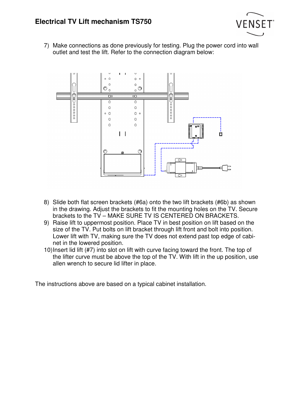

7) Make connections as done previously for testing. Plug the power cord into wall outlet and test the lift. Refer to the connection diagram below:



- 8) Slide both flat screen brackets (#6a) onto the two lift brackets (#6b) as shown in the drawing. Adjust the brackets to fit the mounting holes on the TV. Secure brackets to the TV – MAKE SURE TV IS CENTERED ON BRACKETS.
- 9) Raise lift to uppermost position. Place TV in best position on lift based on the size of the TV. Put bolts on lift bracket through lift front and bolt into position. Lower lift with TV, making sure the TV does not extend past top edge of cabinet in the lowered position.
- 10) Insert lid lift (#7) into slot on lift with curve facing toward the front. The top of the lifter curve must be above the top of the TV. With lift in the up position, use allen wrench to secure lid lifter in place.

The instructions above are based on a typical cabinet installation.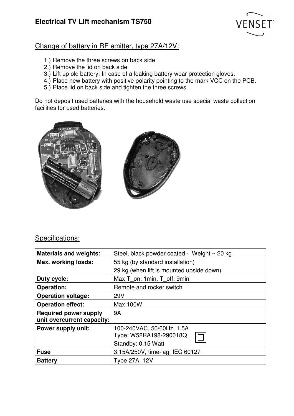

#### Change of battery in RF emitter, type 27A/12V:

- 1.) Remove the three screws on back side
- 2.) Remove the lid on back side
- 3.) Lift up old battery. In case of a leaking battery wear protection gloves.
- 4.) Place new battery with positive polarity pointing to the mark VCC on the PCB.
- 5.) Place lid on back side and tighten the three screws

Do not deposit used batteries with the household waste use special waste collection facilities for used batteries.





### Specifications:

| <b>Materials and weights:</b>                              | Steel, black powder coated - Weight ~ 20 kg                               |
|------------------------------------------------------------|---------------------------------------------------------------------------|
| Max. working loads:                                        | 55 kg (by standard installation)                                          |
|                                                            | 29 kg (when lift is mounted upside down)                                  |
| Duty cycle:                                                | Max T on: 1 min, T off: 9 min                                             |
| <b>Operation:</b>                                          | Remote and rocker switch                                                  |
| <b>Operation voltage:</b>                                  | 29 <sub>V</sub>                                                           |
| <b>Operation effect:</b>                                   | <b>Max 100W</b>                                                           |
| <b>Required power supply</b><br>unit overcurrent capacity: | 9A                                                                        |
| Power supply unit:                                         | 100-240VAC, 50/60Hz, 1.5A<br>Type: W52RA198-290018Q<br>Standby: 0.15 Watt |
| <b>Fuse</b>                                                | 3.15A/250V, time-lag, IEC 60127                                           |
| <b>Battery</b>                                             | <b>Type 27A, 12V</b>                                                      |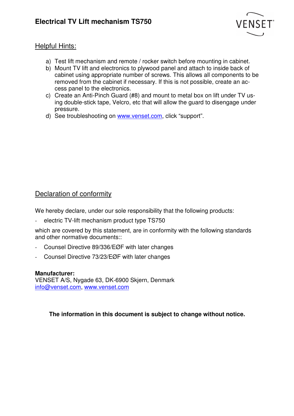

#### Helpful Hints:

- a) Test lift mechanism and remote / rocker switch before mounting in cabinet.
- b) Mount TV lift and electronics to plywood panel and attach to inside back of cabinet using appropriate number of screws. This allows all components to be removed from the cabinet if necessary. If this is not possible, create an access panel to the electronics.
- c) Create an Anti-Pinch Guard (#8) and mount to metal box on lift under TV using double-stick tape, Velcro, etc that will allow the guard to disengage under pressure.
- d) See troubleshooting on www.venset.com, click "support".

#### Declaration of conformity

We hereby declare, under our sole responsibility that the following products:

electric TV-lift mechanism product type TS750

which are covered by this statement, are in conformity with the following standards and other normative documents::

- Counsel Directive 89/336/EØF with later changes
- Counsel Directive 73/23/EØF with later changes

#### **Manufacturer:**

VENSET A/S, Nygade 63, DK-6900 Skjern, Denmark info@venset.com, www.venset.com

#### **The information in this document is subject to change without notice.**